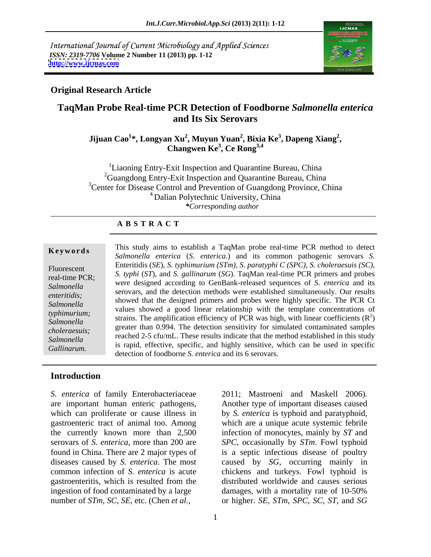International Journal of Current Microbiology and Applied Sciences *ISSN: 2319-7706* **Volume 2 Number 11 (2013) pp. 1-12 <http://www.ijcmas.com>**



## **Original Research Article**

## **TaqMan Probe Real-time PCR Detection of Foodborne** *Salmonella enterica* **and Its Six Serovars**

### **Jijuan Cao<sup>1</sup> \*, Longyan Xu<sup>2</sup> , Muyun Yuan<sup>2</sup> , Bixia Ke<sup>3</sup> , Dapeng Xiang<sup>2</sup> , Changwen Ke<sup>3</sup> , Ce Rong3,4**

 ${}^{1}$ Liaoning Entry-Exit Inspection and Quarantine Bureau, China <sup>2</sup>Guangdong Entry-Exit Inspection and Quarantine Bureau, China <sup>3</sup>Center for Disease Control and Prevention of Guangdong Province, China 4 Dalian Polytechnic University, China *\*Corresponding author*

### **A B S T R A C T**

**Keywords** This study aims to establish a TaqMan probe real-time PCR method to detect  $\mathbb{R}^n$ Fluorescent Entertains (SE), S. Typinium (STM), S. paralyphic (STC), S. Choieraesus (SC), real-time PCR; *S. typhi* (*ST*), and *S.gallinarum* (*SG*). TaqMan real-time PCR primers and probes Salmonella 
<sup>Were</sup> designed according to Genbank-released sequences of *S. enterity* and its<br>
serovars, and the detection methods were established simultaneously. Our results *enteritidis;*<br>
showed that the designed primers and probes were highly specific. The PCR Ct *Salmonella* showed that the designed primers and protes were highly specific. The FCK Ct<br>
values showed a good linear relationship with the template concentrations of *typhimurium;* values showed a good linear relationship with the template concentrations of  $Salmanella$  strains. The amplification efficiency of PCR was high, with linear coefficients (R<sup>2</sup>) Salmonella strains. The amplification efficiency of FCK was light, with linear coefficients (K)<br>choloraneous: greater than 0.994. The detection sensitivity for simulated contaminated samples *choleraesuis;* greater than 0.994. The detection sensitivity for simulated containmated samples<br>
reached 2-5 cfu/mL. These results indicate that the method established in this study *Salmonella* **Example 2.5** Cu/mL. These results indicate that the include examising in this study *Gallinarum.* is rapid, effective, specific, and highly sensitive, which can be used in specific Gallinarum. *Salmonella enterica* (*S. enterica*.) and its common pathogenic serovars *S.*  Enteritidis (*SE*), *S. typhimurium (STm), S. paratyphi C (SPC), S. choleraesuis (SC),*  were designed according to GenBank-released sequences of *S. enterica* and its  $2\lambda$  $)$ detection of foodborne *S. enterica* and its 6 serovars.

### **Introduction**

*S. enterica* of family Enterobacteriaceae are important human enteric pathogens, which can proliferate or cause illness in gastroenteric tract of animal too. Among which are a unique acute systemic febrile the currently known more than 2,500 infection of monocytes, mainly by *ST* and serovars of *S. enterica*, more than 200 are *SPC,* occasionally by *STm*. Fowl typhoid found in China. There are 2 major types of is a septic infectious disease of poultry diseases caused by *S. enterica*. The most caused by *SG,* occurring mainly in common infection of *S. enterica* is acute chickens and turkeys. Fowl typhoid is gastroenteritis, which is resulted from the distributed worldwide and causes serious ingestion of food contaminated by a large damages, with a mortality rate of 10-50%

number of *STm, SC, SE,* etc. (Chen *et al.,* or higher. *SE, STm, SPC, SC, ST,* and *SG* 2011; Mastroeni and Maskell 2006). Another type of important diseases caused by *S. enterica* is typhoid and paratyphoid,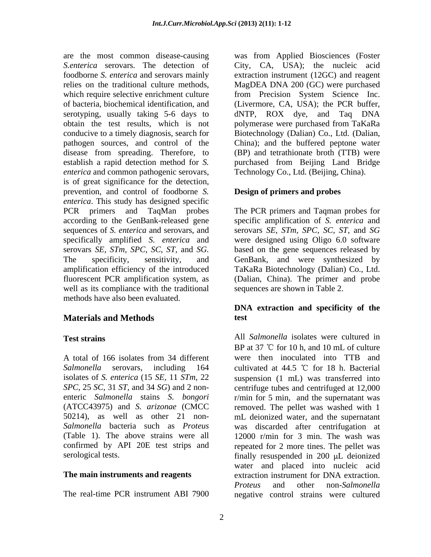disease from spreading. Therefore, to *enterica* and common pathogenic serovars, is of great significance for the detection, prevention, and control of foodborne *S. enterica*. This study has designed specific PCR primers and TaqMan probes The PCR primers and Taqman probes for according to the GenBank-released gene specific amplification of *S. enterica* and sequences of *S. enterica* and serovars, and serovars *SE, STm, SPC, SC, ST,* and *SG* specifically amplified *S. enterica* and were designed using Oligo 6.0 software serovars *SE, STm, SPC, SC, ST,* and *SG.* based on the gene sequences released by The specificity, sensitivity, and GenBank, and were synthesized by amplification efficiency of the introduced fluorescent PCR amplification system, as (Dalian, China). The primer and probe well as its compliance with the traditional methods have also been evaluated.

## **Materials and Methods**

The real-time PCR instrument ABI 7900 negative control strains were cultured

are the most common disease-causing was from Applied Biosciences (Foster *S.enterica* serovars. The detection of City, CA, USA); the nucleic acid foodborne *S. enterica* and serovars mainly extraction instrument (12GC) and reagent relies on the traditional culture methods, MagDEA DNA 200 (GC) were purchased which require selective enrichment culture from Precision System Science Inc. of bacteria, biochemical identification, and (Livermore, CA, USA); the PCR buffer, serotyping, usually taking 5-6 days to dNTP, ROX dye, and Taq DNA obtain the test results, which is not polymerase were purchased from TaKaRa conducive to a timely diagnosis, search for Biotechnology (Dalian) Co., Ltd. (Dalian, pathogen sources, and control of the China); and the buffered peptone water establish a rapid detection method for *S.*  purchased from Beijing Land Bridge (BP) and tetrathionate broth (TTB) were Technology Co., Ltd. (Beijing, China).

## **Design of primers and probes**

TaKaRa Biotechnology (Dalian) Co., Ltd. sequences are shown in Table 2.

## **DNA extraction and specificity of the test**

**Test strains** All *Salmonella* isolates were cultured in A total of 166 isolates from 34 different Salmonella serovars, including 164 cultivated at 44.5 °C for 18 h. Bacterial isolates of *S. enterica* (15 *SE,* 11 *STm,* 22 suspension (1 mL) was transferred into *SPC,* 25 *SC,* 31 *ST,* and 34 *SG*) and 2 non- centrifuge tubes and centrifuged at 12,000 enteric *Salmonella* stains *S. bongori* r/min for 5 min, and the supernatant was (ATCC43975) and *S. arizonae* (CMCC removed. The pellet was washed with 1 50214), as well as other 21 non- mL deionized water, and the supernatant *Salmonella* bacteria such as *Proteus* was discarded after centrifugation at (Table 1). The above strains were all 12000 r/min for 3 min. The wash was confirmed by API 20E test strips and repeated for 2 more tines. The pellet was serological tests. The serological tests of the serological tests. **The main instruments and reagents** extraction instrument for DNA extraction. BP at 37  $\degree$ C for 10 h, and 10 mL of culture were then inoculated into TTB and water and placed into nucleic acid extraction instrument for DNA extraction. *Proteus* and other non-*Salmonella*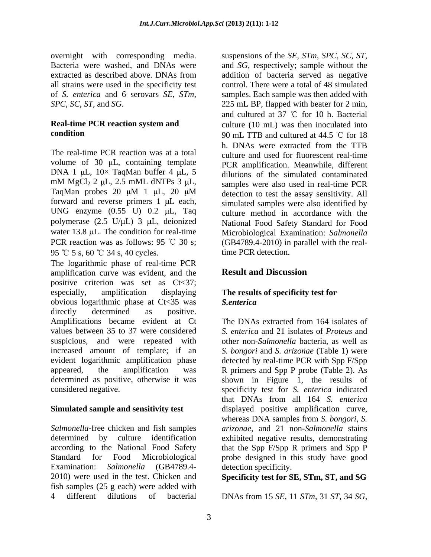## **Real-time PCR reaction system and**

The real-time PCR reaction was at a total culture and used for fluorescent real-time volume of  $30 \mu L$ , containing template DNA 1  $\mu$ L, 10× TaqMan buffer 4  $\mu$ L, 5 mM MgCl<sub>2</sub> 2 µL, 2.5 mML dNTPs 3 µL, samples were also used in real-time PCR TaqMan probes 20  $\mu$ M 1  $\mu$ L, 20  $\mu$ M detection to test the assay sensitivity. All forward and reverse primers  $1 \mu L$  each, UNG enzyme  $(0.55 \text{ U})$  0.2  $\mu$ L, Taq polymerase (2.5 U/µL) 3 µL, deionized Mational Food Safety Standard for Food water 13.8 µL. The condition for real-time Microbiological Examination: Salmonella PCR reaction was as follows: 95 °C 30 s;  $(GB4789.4-2010)$  in parallel with the real-95 °C 5 s, 60 °C 34 s, 40 cycles.

The logarithmic phase of real-time PCR amplification curve was evident, and the **Result and Discussion** positive criterion was set as Ct<37; especially, amplification displaying **The results of specificity test for**  obvious logarithmic phase at Ct<35 was directly determined as positive. Amplifications became evident at Ct The DNAs extracted from 164 isolates of values between 35 to 37 were considered suspicious, and were repeated with other non-*Salmonella* bacteria, as well as increased amount of template; if an *S. bongori* and *S. arizonae* (Table 1) were evident logarithmic amplification phase detected by real-time PCR with Spp F/Spp appeared, the amplification was R primers and Spp P probe (Table 2). As determined as positive, otherwise it was shown in Figure 1, the results of

*Salmonella*-free chicken and fish samples *arizonae,* and 21 non-*Salmonella* stains determined by culture identification according to the National Food Safety that the Spp F/Spp R primers and Spp P Standard for Food Microbiological probe designed in this study have good Examination: *Salmonella* (GB4789.4- 2010) were used in the test. Chicken and **Specificity test for SE, STm, ST, and SG** fish samples (25 g each) were added with

overnight with corresponding media. suspensions of the *SE, STm, SPC, SC, ST,* Bacteria were washed, and DNAs were and *SG,* respectively; sample without the extracted as described above. DNAs from all strains were used in the specificity test control. There were a total of 48 simulated of *S. enterica* and 6 serovars *SE, STm,* samples. Each sample was then added with *SPC, SC, ST,* and *SG*. 225 mL BP, flapped with beater for 2 min, **condition** 90 mL TTB and cultured at 44.5 °C for 18 addition of bacteria served as negative and cultured at  $37$  °C for 10 h. Bacterial culture (10 mL) was then inoculated into h. DNAs were extracted from the TTB PCR amplification. Meanwhile, different dilutions of the simulated contaminated samples were also used in real-time PCR detection to test the assay sensitivity. All simulated samples were also identified by culture method in accordance with the time PCR detection.

## **Result and Discussion**

# *S.enterica*

considered negative. specificity test for *S. enterica* indicated **Simulated sample and sensitivity test** displayed positive amplification curve, The DNAs extracted from 164 isolates of *S. enterica* and 21 isolates of *Proteus* and that DNAs from all 164 *S. enterica* whereas DNA samples from *S. bongori, S.* exhibited negative results, demonstrating detection specificity.

4 different dilutions of bacterial DNAs from 15 *SE*, 11 *STm*, 31 *ST*, 34 *SG*,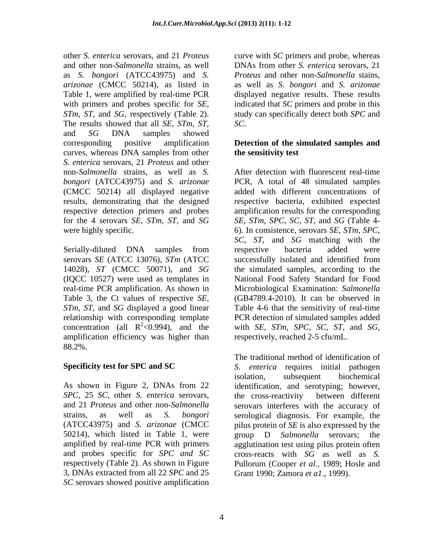other *S. enterica* serovars, and 21 *Proteus*  curve with *SC* primers and probe, whereas and other non-*Salmonella* strains*,* as well DNAs from other *S. enterica* serovars, 21 as *S. bongori* (ATCC43975) and *S.*  arizonae (CMCC 50214), as listed in Table 1, were amplified by real-time PCR displayed negative results. These results with primers and probes specific for *SE,*  indicated that *SC* primers and probe in this *STm, ST,* and *SG,* respectively (Table 2). study can specifically detect both *SPC* and The results showed that all *SE, STm, ST,* and *SG* DNA samples showed corresponding positive amplification **Detection of the simulated samples and** curves, whereas DNA samples from other *S. enterica* serovars, 21 *Proteus* and other (CMCC 50214) all displayed negative results, demonstrating that the designed

serovars *SE* (ATCC 13076), *STm* (ATCC Table 3, the Ct values of respective *SE,*  relationship with corresponding template amplification efficiency was higher than 88.2%.

*SPC*, 25 *SC*, other *S. enterica* serovars, 50214), which listed in Table 1, were group D Salmonella serovars; the *SC* serovars showed positive amplification

*Proteus* and other non-*Salmonella* stains, as well as *S. bongori* and *S. arizonae SC*.

## **the sensitivity test**

non-*Salmonella* strains, as well as *S.*  After detection with fluorescent real-time *bongori* (ATCC43975) and *S. arizonae* PCR, A total of 48 simulated samples respective detection primers and probes amplification results for the corresponding for the 4 serovars *SE, STm, ST,* and *SG SE, STm, SPC, SC, ST,* and *SG* (Table 4 were highly specific. 6). In consistence, serovars *SE, STm, SPC,* Serially-diluted DNA samples from respective bacteria added were 14028), *ST* (CMCC 50071), and *SG* the simulated samples, according to the (IQCC 10527) were used as templates in National Food Safety Standard for Food real-time PCR amplification. As shown in Microbiological Examination: *Salmonella STm, ST,* and *SG* displayed a good linear Table 4-6 that the sensitivity of real-time concentration (all  $R^2 < 0.994$ ), and the with *SE*, *STm*, *SPC*, *SC*, *ST*, and *SG*, added with different concentrations of respective bacteria, exhibited expected *SC, ST,* and *SG* matching with the respective bacteria added were successfully isolated and identified from (GB4789.4-2010). It can be observed in PCR detection of simulated samples added respectively, reached 2-5 cfu/mL.

**Specificity test for SPC and SC** *S. enterica* requires initial pathogen As shown in Figure 2, DNAs from 22 identification, and serotyping; however, and 21 *Proteus* and other non-*Salmonella* serovars interferes with the accuracy of strains*,* as well as *S. bongori* serological diagnosis. For example, the (ATCC43975) and *S. arizonae* (CMCC pilus protein of *SE* is also expressed by the amplified by real-time PCR with primers agglutination test using pilus protein often and probes specific for *SPC and SC* cross-reacts with *SG* as well as *S.* respectively (Table 2). As shown in Figure Pullorum (Cooper *et al.,* 1989; Hosle and 3, DNAs extracted from all 22 *SPC* and 25 The traditional method of identification of isolation, subsequent biochemical the cross-reactivity between different group D *Salmonella* serovars; the Grant 1990; Zamora *et a1*., 1999).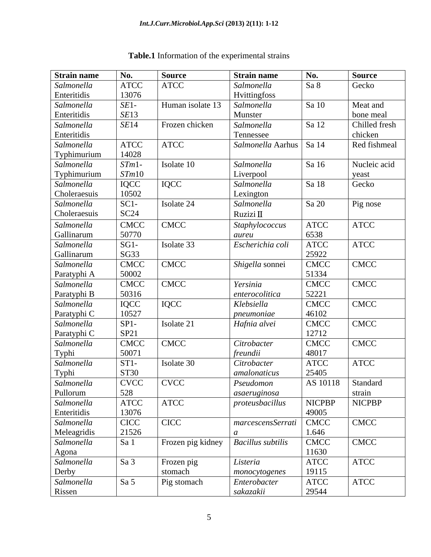| <b>Strain name</b>  | No.         | <b>Source</b>     | <b>Strain name</b>        | No.            | <b>Source</b>         |
|---------------------|-------------|-------------------|---------------------------|----------------|-----------------------|
| Salmonella          | <b>ATCC</b> | <b>ATCC</b>       | Salmonella                | Sa 8           | Gecko                 |
| Enteritidis         | 13076       |                   | Hvittingfoss              |                |                       |
| Salmonella          | $SE1-$      | Human isolate 13  | Salmonella                | Sa 10          | Meat and              |
| Enteritidis         | SE13        |                   | Munster                   |                | bone meal             |
| Salmonella          | SE14        | Frozen chicken    | Salmonella                | Sa 12          | Chilled fresh         |
| Enteritidis         |             |                   | Tennessee                 |                | chicken               |
| Salmonella          | <b>ATCC</b> | <b>ATCC</b>       | Salmonella Aarhus   Sa 14 |                | Red fishmeal          |
| Typhimurium         | 14028       |                   |                           |                |                       |
| Salmonella          | $STm1-$     | Isolate 10        | Salmonella                | Sa 16          | Nucleic acid          |
| Typhimurium         | STm10       |                   | Liverpool                 |                | yeast                 |
| Salmonella          | IQCC        | <b>IQCC</b>       | Salmonella                | Sa 18          | Gecko                 |
| Choleraesuis        | 10502       |                   | Lexington                 |                |                       |
| Salmonella          | $SC1-$      | Isolate 24        | Salmonella                | $\sqrt{5a}$ 20 | Pig nose              |
| Choleraesuis        | SC24        |                   | Ruzizi II                 |                |                       |
| Salmonella          | <b>CMCC</b> | <b>CMCC</b>       | Staphylococcus            | <b>ATCC</b>    | $\operatorname{ATCC}$ |
| Gallinarum          | 50770       |                   | aureu                     | 6538           |                       |
| Salmonella          | $SG1-$      | Isolate 33        | Escherichia coli          | <b>ATCC</b>    | <b>ATCC</b>           |
| Gallinarum          | SG33        |                   |                           | 25922          |                       |
| Salmonella          | <b>CMCC</b> | <b>CMCC</b>       | Shigella sonnei           | <b>CMCC</b>    | <b>CMCC</b>           |
| Paratyphi A         | 50002       |                   |                           | 51334          |                       |
| Salmonella          | <b>CMCC</b> | <b>CMCC</b>       | Yersinia                  | <b>CMCC</b>    | <b>CMCC</b>           |
| Paratyphi B         | 50316       |                   | enterocolitica            | 52221          |                       |
| Salmonella          | IQCC        | <b>IQCC</b>       | Klebsiella                | <b>CMCC</b>    | <b>CMCC</b>           |
| Paratyphi C         | 10527       |                   | pneumoniae                | 46102          |                       |
| Salmonella          | $SPI-$      | Isolate 21        | Hafnia alvei              | <b>CMCC</b>    | <b>CMCC</b>           |
| Paratyphi C         | SP21        |                   |                           | 12712          |                       |
| Salmonella          | <b>CMCC</b> | <b>CMCC</b>       | Citrobacter               | <b>CMCC</b>    | <b>CMCC</b>           |
| Typhi               | 50071       |                   | freundii                  | 48017          |                       |
| Salmonella          | $ST1-$      | Isolate 30        | Citrobacter               | <b>ATCC</b>    | $\operatorname{ATCC}$ |
| Typhi               | <b>ST30</b> |                   | amalonaticus              | 25405          |                       |
| Salmonella          | <b>CVCC</b> | <b>CVCC</b>       | Pseudomon                 | AS 10118       | Standard              |
| Pullorum            | 528         |                   | asaeruginosa              |                | strain                |
| Salmonella          | <b>ATCC</b> | <b>ATCC</b>       | proteusbacillus           | <b>NICPBP</b>  | <b>NICPBP</b>         |
| Enteritidis         | 13076       |                   |                           | 49005          |                       |
| Salmonella          | <b>CICC</b> | CICC              | marcescensSerrati         | CMCC           | <b>CMCC</b>           |
| Meleagridis         | 21526       |                   |                           | 1.646          |                       |
| Salmonella          | Sa 1        | Frozen pig kidney | <b>Bacillus</b> subtilis  | <b>CMCC</b>    | <b>CMCC</b>           |
|                     |             |                   |                           | 11630          |                       |
| Agona<br>Salmonella | Sa 3        | Frozen pig        | Listeria                  | <b>ATCC</b>    | <b>ATCC</b>           |
| Derby               |             | stomach           | monocytogenes             | 19115          |                       |
| Salmonella          | Sa 5        | Pig stomach       | Enterobacter              | <b>ATCC</b>    | <b>ATCC</b>           |
| Rissen              |             |                   | sakazakii                 | 29544          |                       |

## **Table.1** Information of the experimental strains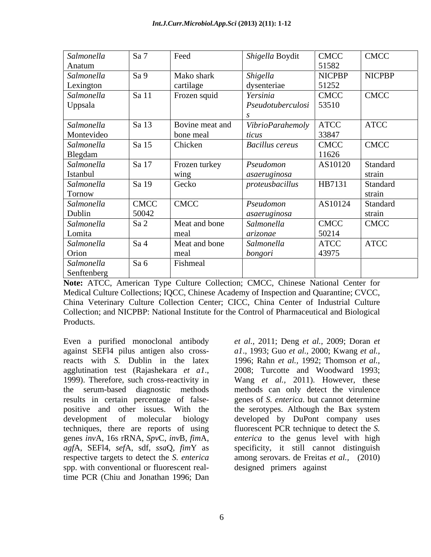| Salmonella  | Sa 7         | Feed            | Shigella Boydit                  | <b>CMCC</b>   | <b>CMCC</b>   |
|-------------|--------------|-----------------|----------------------------------|---------------|---------------|
| Anatum      |              |                 |                                  | 51582         |               |
| Salmonella  | $\vert$ Sa 9 | Mako shark      | Shigella                         | <b>NICPBP</b> | <b>NICPBP</b> |
| Lexington   |              | cartilage       | dysenteriae                      | 51252         |               |
| Salmonella  | Sa 11        | Frozen squid    | Yersinia                         | <b>CMCC</b>   | <b>CMCC</b>   |
| Uppsala     |              |                 | $\mid$ Pseudotuberculosi   53510 |               |               |
|             |              |                 |                                  |               |               |
| Salmonella  | Sa 13        | Bovine meat and | <b>VibrioParahemoly</b>          | ATCC          | <b>ATCC</b>   |
| Montevideo  |              | bone meal       | ticus                            | 33847         |               |
| Salmonella  | Sa 15        | Chicken         | <b>Bacillus cereus</b>           | <b>CMCC</b>   | CMCC          |
| Blegdam     |              |                 |                                  | 11626         |               |
| Salmonella  | Sa 17        | Frozen turkey   | Pseudomon                        | AS10120       | Standard      |
| Istanbul    |              | wing            | asaeruginosa                     |               | strain        |
| Salmonella  | Sa 19        | Gecko           | proteusbacillus                  | HB7131        | Standard      |
| Tornow      |              |                 |                                  |               | strain        |
| Salmonella  | <b>CMCC</b>  | <b>CMCC</b>     | Pseudomon                        | AS10124       | Standard      |
| Dublin      | 50042        |                 | asaeruginosa                     |               | strain        |
| Salmonella  | Sa 2         | Meat and bone   | Salmonella                       | <b>CMCC</b>   | <b>CMCC</b>   |
| Lomita      |              | meal            | arizonae                         | 50214         |               |
| Salmonella  | $\vert$ Sa 4 | Meat and bone   | Salmonella                       | <b>ATCC</b>   | <b>ATCC</b>   |
| Orion       |              | meal            | bongori                          | 43975         |               |
| Salmonella  | Sa 6         | Fishmeal        |                                  |               |               |
| Senftenberg |              |                 |                                  |               |               |

**Note:** ATCC, American Type Culture Collection; CMCC, Chinese National Center for Medical Culture Collections; IQCC, Chinese Academy of Inspection and Quarantine; CVCC, China Veterinary Culture Collection Center; CICC, China Center of Industrial Culture Collection; and NICPBP: National Institute for the Control of Pharmaceutical and Biological Products.

Even a purified monoclonal antibody *et al.,* 2011; Deng *et al.,* 2009; Doran *et*  against SEFl4 pilus antigen also cross-*a1*., 1993; Guo *et al.,* 2000; Kwang *et al.,* reacts with *S.* Dublin in the latex 1996; Rahn *et al.,* 1992; Thomson *et al.,* agglutination test (Rajashekara *et a1*., 1999). Therefore, such cross-reactivity in Wang *et al.,* 2011). However, these the serum-based diagnostic methods methods can only detect the virulence results in certain percentage of false- genes of *S. enterica*. but cannot determine positive and other issues. With the the serotypes. Although the Bax system development of molecular biology developed by DuPont company uses techniques, there are reports of using genes *inv*A, 16s rRNA, *Spv*C, *inv*B, *fim*A, *enterica* to the genus level with high *agf*A, SEFl4, *sef*A, sdf, *ssa*Q, *fim*Y as specificity, it still cannot distinguish respective targets to detect the *S. enterica* spp. with conventional or fluorescent real-<br>designed primers against time PCR (Chiu and Jonathan 1996; Dan

2008; Turcotte and Woodward 1993; fluorescent PCR technique to detect the *S.*  among serovars. de Freitas *et al.*, (2010)<br>designed primers against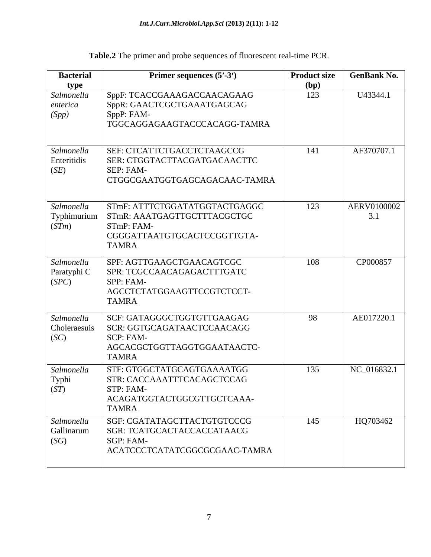| <b>Bacterial</b>                                                                 | Primer sequences (5'-3')                                                                                                  | <b>Product size</b> | <b>GenBank No.</b> |
|----------------------------------------------------------------------------------|---------------------------------------------------------------------------------------------------------------------------|---------------------|--------------------|
| type                                                                             |                                                                                                                           | (bp)                |                    |
| Salmonella<br>enterica<br>(Spp)                                                  | SppF: TCACCGAAAGACCAACAGAAG<br>SppR: GAACTCGCTGAAATGAGCAG<br>SppP: FAM-<br>TGGCAGGAGAAGTACCCACAGG-TAMRA                   | 123                 | U43344.1           |
| Salmonella<br>Enteritidis<br>(SE)                                                | SEF: CTCATTCTGACCTCTAAGCCG<br>SER: CTGGTACTTACGATGACAACTTC<br>SEP: FAM-<br>CTGGCGAATGGTGAGCAGACAAC-TAMRA                  | 141                 | AF370707.1         |
| Salmonella<br>$\left\lceil \frac{\text{Typhimurium}}{\text{(STm)}} \right\rceil$ | STmF: ATTTCTGGATATGGTACTGAGGC<br>STmR: AAATGAGTTGCTTTACGCTGC<br>STmP: FAM-<br>CGGGATTAATGTGCACTCCGGTTGTA-<br><b>TAMRA</b> | 123                 | AERV0100002<br>3.1 |
| Salmonella<br>Paratyphi C<br>(SPC)                                               | SPF: AGTTGAAGCTGAACAGTCGC<br>SPR: TCGCCAACAGAGACTTTGATC<br>SPP: FAM-<br>AGCCTCTATGGAAGTTCCGTCTCCT-<br><b>TAMRA</b>        | 108                 | CP000857           |
| Salmonella<br>Choleraesuis<br>SC                                                 | SCF: GATAGGGCTGGTGTTGAAGAG<br>SCR: GGTGCAGATAACTCCAACAGG<br>SCP: FAM-<br>AGCACGCTGGTTAGGTGGAATAACTC-<br><b>TAMRA</b>      | 98                  | AE017220.1         |
| Salmonella<br>Typhi<br>(ST)                                                      | STF: GTGGCTATGCAGTGAAAATGG<br>STR: CACCAAATTTCACAGCTCCAG<br>STP: FAM-<br>ACAGATGGTACTGGCGTTGCTCAAA-<br><b>TAMRA</b>       | 135                 | NC_016832.1        |
| Salmonella<br>Gallinarum<br>(SG)                                                 | SGF: CGATATAGCTTACTGTGTCCCG<br>SGR: TCATGCACTACCACCATAACG<br>SGP: FAM-<br>ACATCCCTCATATCGGCGCGAAC-TAMRA                   | 145                 | HQ703462           |

**Table.2** The primer and probe sequences of fluorescent real-time PCR.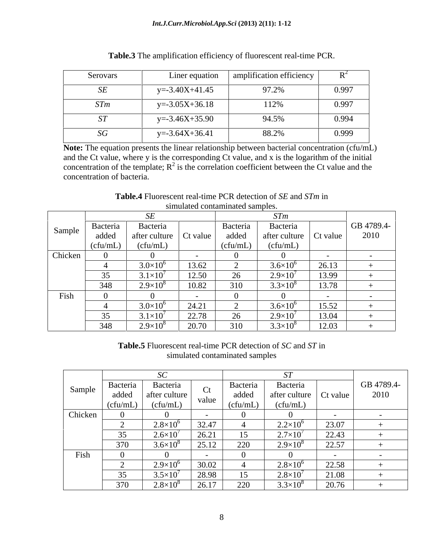| Serovars              | Liner equation $\parallel$ | amplification efficiency |       |
|-----------------------|----------------------------|--------------------------|-------|
| $\Gamma$<br>ັບມ       | $=3.40X+41.45$             | 97.2%                    | 0.997 |
| STm                   | $=.3.05X+36.18$            | 112%                     | 0.997 |
|                       | $y = -3.46X + 35.90$       | 94.5%                    | 0.994 |
| $\overline{SC}$<br>υU | $y = -3.64X + 36.41$       | 88.2%                    | 0.999 |

| m<br>$\overline{\phantom{a}}$<br>D <sub>o</sub><br>fluorescent real-time<br>rable.3<br>ufication efficiency.<br>$\sim$ amplit<br>.<br>י ^י<br>ı ne<br>UN.<br>,,, |  |
|------------------------------------------------------------------------------------------------------------------------------------------------------------------|--|
|------------------------------------------------------------------------------------------------------------------------------------------------------------------|--|

**Note:** The equation presents the linear relationship between bacterial concentration (cfu/mL) and the Ct value, where y is the corresponding Ct value, and x is the logarithm of the initial concentration of the template;  $R^2$  is the correlation coefficient between the Ct value and the concentration of bacteria.

|         |          |                     |                        |          | S/m               |          |            |
|---------|----------|---------------------|------------------------|----------|-------------------|----------|------------|
| Sample  | Bacteria | Bacteria            |                        | Bacteria | Bacteria          |          | GB 4789.4- |
|         | added    | after culture       | $\Box$ Ct value $\Box$ | added    | after culture     | Ct value | 2010       |
|         | (cfu/mL) | (cfu/mL)            |                        | (cfu/mL) | (cfu/mL)          |          |            |
| Chicken |          |                     |                        |          |                   |          |            |
|         |          | $3.0\times10^{6}$   | 13.62                  |          | $3.6\times10^{6}$ | 26.13    |            |
|         | 35       | $3.1\times10^{7}$   | 50 12<br>14.J          |          | $2.9\times10^{7}$ | 13.99    |            |
|         | 348      | $2.9\times10^{8}$   | 10.82                  | 310      | $3.3\times10^{8}$ | 13.78    |            |
| Fish    |          |                     |                        |          |                   |          |            |
|         |          | $3.0\times10^6$     | 24.21                  |          | $3.6\times10^{6}$ | 15.52    |            |
|         | 35       | $3.1 \times 10^{7}$ | 2270<br>44.IO          | $\sim$   | $2.9 \times 10^7$ | 13.04    |            |
|         | 348      | $2.9\times10^{8}$   | 20.70                  | 210      | $3.3\times10^{8}$ | 12.03    |            |

**Table.4** Fluorescent real-time PCR detection of *SE* and *STm* in simulated contaminated samples.

**Table.5** Fluorescent real-time PCR detection of *SC* and *ST* in simulated contaminated samples

| Sample  | Bacteria | Bacteria            |                          | Bacteria               | Bacteria                 |        | GB 4789.4- |
|---------|----------|---------------------|--------------------------|------------------------|--------------------------|--------|------------|
|         | added    | after culture       |                          | added                  | after culture   Ct value |        | 2010       |
|         | (cfu/mL) | (cfu/mL)            | value                    | (cfu/mL)               | (cfu/mL)                 |        |            |
| Chicken |          |                     |                          |                        |                          |        |            |
|         |          | $2.8 \times 10^{6}$ | 32.47                    |                        | $2.2 \times 10^{6}$      | 23.07  |            |
|         | 35       | $2.6 \times 10^{7}$ | 26.21                    | 15                     | $2.7\times10^{7}$        | 22.43  |            |
|         | 370      | $3.6 \times 10^{8}$ | 25.12                    | 220<br>$\angle$        | $2.9\times10^{8}$        | 22.57  |            |
| Fish    |          |                     | $\overline{\phantom{0}}$ |                        |                          | $\sim$ |            |
|         |          | $2.9\times10^{6}$   | 30.02                    |                        | $2.8 \times 10^{6}$      | 22.58  |            |
|         | 35       | $3.5 \times 10^{7}$ | 28.98                    | 15                     | $2.8\times10^{7}$        | 21.08  |            |
|         | 370      | $2.8 \times 10^{8}$ | 26.17                    | 220<br>44 <sub>U</sub> | $3.3\times10^{8}$        | 20.76  |            |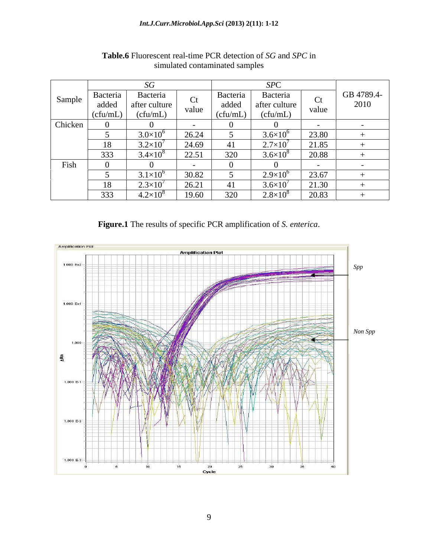|         |                     | SG                  |       |          | SPC               |              |            |
|---------|---------------------|---------------------|-------|----------|-------------------|--------------|------------|
| Sample  | Bacteria            | <b>Bacteria</b>     | Ct    | Bacteria | Bacteria          | $\Gamma$     | GB 4789.4- |
|         | added               | after culture       | value | added    | after culture     | UU.<br>value | 2010       |
|         | $\log_{10}(ctu/mL)$ | (cfu/mL)            |       | (cfu/mL) | (cfu/mL)          |              |            |
| Chicken |                     |                     |       |          |                   |              |            |
|         |                     | $3.0\times10^6$     | 26.24 |          | $3.6\times10$     | 23.80        |            |
|         |                     | $3.2\times10$       | 24.69 | 41       | $2.7\times10^{7}$ | 21.85        |            |
|         | 333                 | $3.4 \times 10^{8}$ | 22.51 | 320      | $3.6\times10$     | 20.88        |            |
| Fish    |                     |                     |       |          |                   |              |            |
|         |                     | $3.1 \times 10^{6}$ | 30.82 |          | $2.9\times10^{6}$ | 23.67        |            |
|         |                     | $2.3\times10^{7}$   | 26.21 | 41       | $3.6\times10$     | 21.30        |            |
|         | 333                 | $4.2\times10^{8}$   | 19.60 | 320      | $2.8\times10$     | 20.83        |            |

## **Table.6** Fluorescent real-time PCR detection of *SG* and *SPC* in simulated contaminated samples

**Figure.1** The results of specific PCR amplification of *S. enterica*.

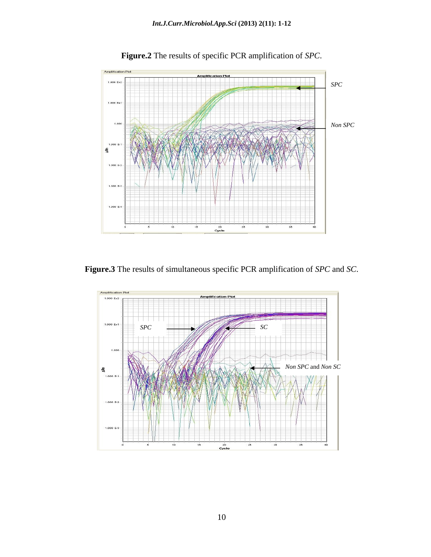

**Figure.2** The results of specific PCR amplification of *SPC*.

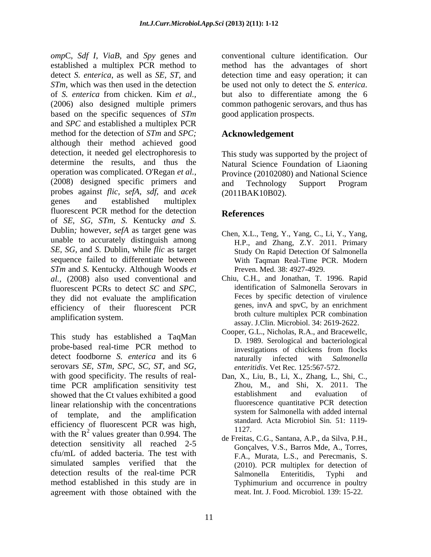*omp*C, *Sdf I*, *ViaB*, and *Spy* genes and established a multiplex PCR method to method has the advantages of short detect *S. enterica*, as well as *SE, ST,* and detection time and easy operation; it can *STm*, which was then used in the detection be used not only to detect the *S. enterica.* of *S. enterica* from chicken. Kim *et al.,* (2006) also designed multiple primers based on the specific sequences of *STm* and *SPC* and established a multiplex PCR method for the detection of *STm* and *SPC;* although their method achieved good detection, it needed gel electrophoresis to determine the results, and thus the Natural Science Foundation of Liaoning operation was complicated. O'Regan *et al.,* Province (20102080) and National Science (2008) designed specific primers and and Technology Support Program probes against *flic*, *sefA*, *sdf*, and *acek* genes and established multiplex fluorescent PCR method for the detection References of *SE, SG, STm, S.* Kentucky *and S.* Dublin*;* however, *sefA* as target gene was unable to accurately distinguish among *SE, SG,* and *S.* Dublin, while *flic* as target sequence failed to differentiate between *STm* and *S.* Kentucky*.* Although Woods *et al.,* (2008) also used conventional and fluorescent PCRs to detect *SC* and *SPC*, identification of Salmonella Serovars in they did not evaluate the amplification Feces by specific detection of virulence efficiency of their fluorescent PCR amplification system.

This study has established a TaqMan probe-based real-time PCR method to investigations of chickens from flocks detect foodborne *S. enterica* and its 6 maturally infected with *Salmonella* serovars *SE, STm, SPC, SC, ST,* and *SG,* enteritidis. Vet Rec. 125:567-572.<br>with good specificity. The results of real-<br>Dan, X., Liu, B., Li, X., Zhang, L., Shi, C., time PCR amplification sensitivity test Zhou, M., and Shi, X. 2011.<br>showed that the Ct values exhibited a good establishment and evaluation showed that the Ct values exhibited a good establishment and evaluation of linear relationship with the concentrations<br>
interval the employment of templets and the employment interval system for Salmonella with added internal of template, and the amplification efficiency of fluorescent PCR was high,  $1127$ with the  $R^2$  values greater than 0.994. The  $\frac{1127}{48}$  Frates C.G. September 2.B. de Silve B.H. detection sensitivity all reached 2-5 cfu/mL of added bacteria. The test with simulated samples verified that the detection results of the real-time PCR Salmonella Enteritidis, Typhi and method established in this study are in Typhimurium and occurrence in poultry agreement with those obtained with the

conventional culture identification. Our be used not only to detect the *S. enterica*. but also to differentiate among the <sup>6</sup> common pathogenic serovars, and thus has good application prospects.

## **Acknowledgement**

This study was supported by the project of and Technology Support Program (2011BAK10B02).

## **References**

- Chen, X.L., Teng, Y., Yang, C., Li, Y., Yang, H.P., and Zhang, Z.Y. 2011. Primary Study On Rapid Detection Of Salmonella With Taqman Real-Time PCR. Modern Preven. Med. 38: 4927-4929.
- Chiu, C.H., and Jonathan, T. 1996. Rapid identification of Salmonella Serovars in Feces by specific detection of virulence genes, invA and spvC, by an enrichment broth culture multiplex PCR combination assay. J.Clin. Microbiol. 34: 2619-2622.
- Cooper, G.L., Nicholas, R.A., and Bracewellc, D. 1989. Serological and bacteriological investigations of chickens from flocks naturally infected with *Salmonella enteritidis*. Vet Rec*.* 125:567-572.
- Dan, X., Liu, B., Li, X., Zhang, L., Shi, C., Zhou, M., and Shi, X. 2011. The establishment and evaluation of fluorescence quantitative PCR detection system for Salmonella with added internal standard. Acta Microbiol Sin*.* 51: 1119- 1127.
- de Freitas, C.G., Santana, A.P., da Silva, P.H., Gonçalves, V.S., Barros Mde, A., Torres, F.A., Murata, L.S., and Perecmanis, S. (2010). PCR multiplex for detection of Salmonella Enteritidis, Typhi and Typhimurium and occurrence in poultry meat. Int. J. Food. Microbiol*.* 139: 15-22.